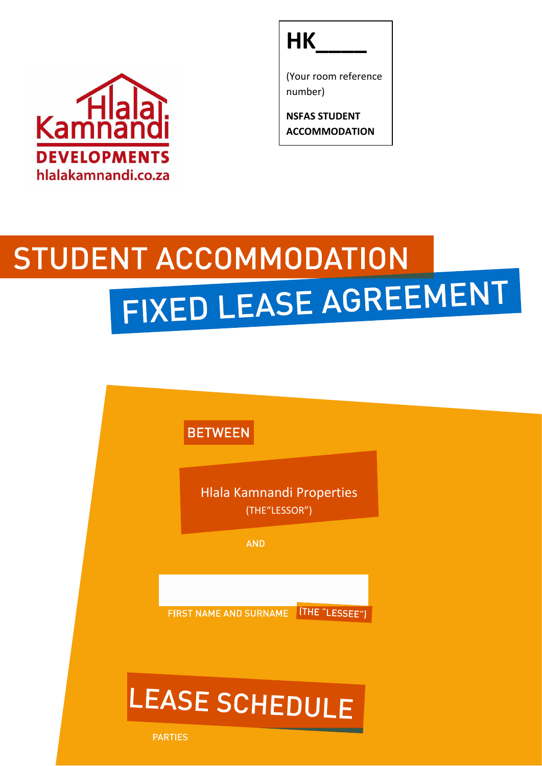



(Your room reference number)

**NSFAS STUDENT ACCOMMODATION**

# **STUDENT ACCOMMODATION** FIXED LEASE AGREEMENT

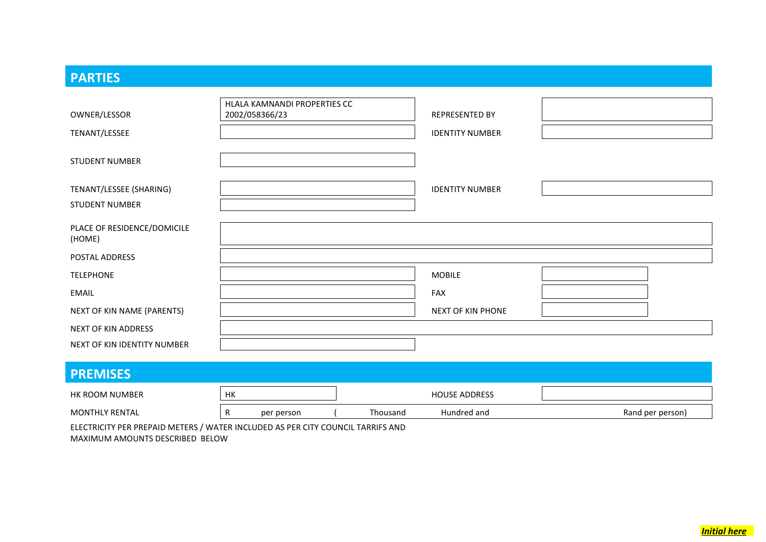### **PARTIES**

|                                       | HLALA KAMNANDI PROPERTIES CC |                        |  |
|---------------------------------------|------------------------------|------------------------|--|
| OWNER/LESSOR                          | 2002/058366/23               | REPRESENTED BY         |  |
| TENANT/LESSEE                         |                              | <b>IDENTITY NUMBER</b> |  |
| <b>STUDENT NUMBER</b>                 |                              |                        |  |
| TENANT/LESSEE (SHARING)               |                              | <b>IDENTITY NUMBER</b> |  |
| <b>STUDENT NUMBER</b>                 |                              |                        |  |
| PLACE OF RESIDENCE/DOMICILE<br>(HOME) |                              |                        |  |
| POSTAL ADDRESS                        |                              |                        |  |
| <b>TELEPHONE</b>                      |                              | <b>MOBILE</b>          |  |
| <b>EMAIL</b>                          |                              | FAX                    |  |
| NEXT OF KIN NAME (PARENTS)            |                              | NEXT OF KIN PHONE      |  |
| NEXT OF KIN ADDRESS                   |                              |                        |  |
| NEXT OF KIN IDENTITY NUMBER           |                              |                        |  |
| <b>PREMISES</b>                       |                              |                        |  |

| HK ROOM NUMBER        | .<br>. |            | <b>HOUSE ADDRESS</b> |             |                  |
|-----------------------|--------|------------|----------------------|-------------|------------------|
| <b>MONTHLY RENTAL</b> |        | per person | Thousand             | Hundred and | Rand per person) |

ELECTRICITY PER PREPAID METERS / WATER INCLUDED AS PER CITY COUNCIL TARRIFS AND MAXIMUM AMOUNTS DESCRIBED BELOW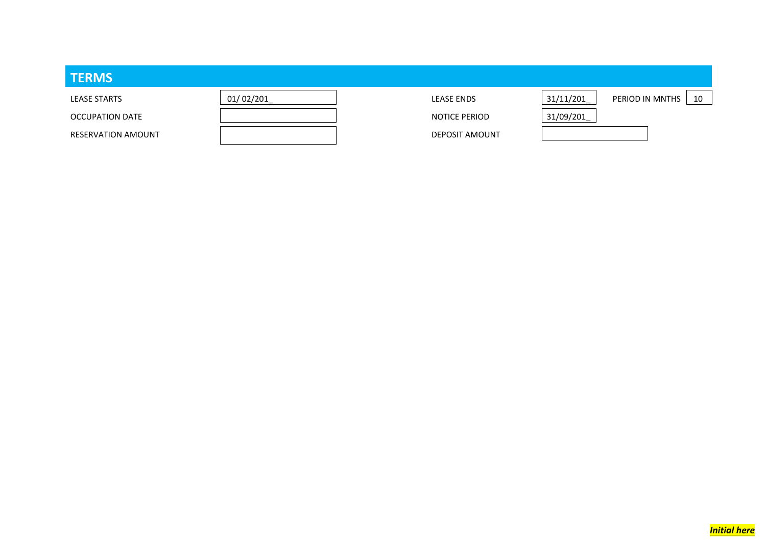| <b>TERMS</b>              |           |                       |           |                       |
|---------------------------|-----------|-----------------------|-----------|-----------------------|
| <b>LEASE STARTS</b>       | 01/02/201 | <b>LEASE ENDS</b>     | 31/11/201 | PERIOD IN MNTHS<br>10 |
| OCCUPATION DATE           |           | NOTICE PERIOD         | 31/09/201 |                       |
| <b>RESERVATION AMOUNT</b> |           | <b>DEPOSIT AMOUNT</b> |           |                       |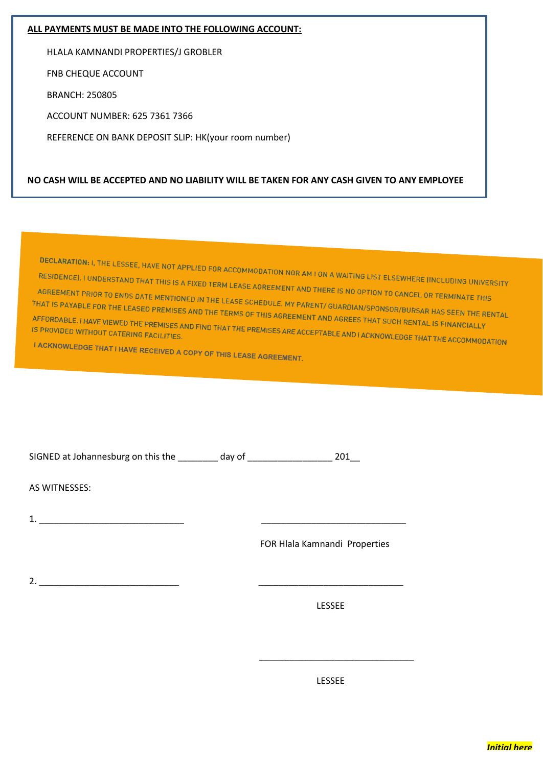#### **ALL PAYMENTS MUST BE MADE INTO THE FOLLOWING ACCOUNT:**

HLALA KAMNANDI PROPERTIES/J GROBLER

FNB CHEQUE ACCOUNT

BRANCH: 250805

ACCOUNT NUMBER: 625 7361 7366

REFERENCE ON BANK DEPOSIT SLIP: HK(your room number)

#### **NO CASH WILL BE ACCEPTED AND NO LIABILITY WILL BE TAKEN FOR ANY CASH GIVEN TO ANY EMPLOYEE**

DECLARATION: I, THE LESSEE, HAVE NOT APPLIED FOR ACCOMMODATION NOR AM I ON A WAITING LIST ELSEWHERE (INCLUDING UNIVERSITY<br>RESIDENCE). I UNDERSTAND THAT THIS IS A FIXED TERM LEASE AGREEMENT AND THEPE IS NO REPORT RESIDENCE). I UNDERSTAND THAT THIS IS A FIXED TERM LEASE AGREEMENT AND THERE IS NO OPTION TO CANCEL OR TERMINATE THIS<br>AGREEMENT PRIOR TO ENDS DATE MENTIONED IN THE LEASE SCHEDULE, MY DARRY COLORED IN TO CANCEL OR TERMINATE AGREEMENT PRIOR TO ENDS DATE MENTIONED IN THE LEASE AGREEMENT AND THERE IS NO OPTION TO CANCEL OR TERMINATE THIS<br>THAT IS PAYABLE FOR THE LEASED PREMISES AND THE LEASE SCHEDULE. MY PARENT/ GUARDIAN/SPONSOR/BURSAR HAS SEEN T THAT IS PAYABLE FOR THE LEASED PREMISES AND THE LEASE SCHEDULE. MY PARENT/ GUARDIAN/SPONSOR/BURSAR HAS SEEN THE R<br>AFFORDABLE. I HAVE VIEWED THE PREMISES AND THE TERMS OF THIS AGREEMENT AND AGREES THAT SUCH RENTAL IS FINANC AFFORDABLE. I HAVE VIEWED THE PREMISES AND THE TERMS OF THIS AGREEMENT AND AGREES THAT SUCH RENTAL IS FINANCIALLY<br>IS PROVIDED WITHOUT CATERING FACILITIES.<br>I ACKNOWLEDGE THAT HULLY LOUIS CATERING FACILITIES. I ACKNOWLEDGE THAT I HAVE RECEIVED A COPY OF THIS LEASE AGREEMENT.

| SIGNED at Johannesburg on this the | day of |  |
|------------------------------------|--------|--|
|                                    |        |  |

AS WITNESSES:

1. \_\_\_\_\_\_\_\_\_\_\_\_\_\_\_\_\_\_\_\_\_\_\_\_\_\_\_\_\_ \_\_\_\_\_\_\_\_\_\_\_\_\_\_\_\_\_\_\_\_\_\_\_\_\_\_\_\_\_

FOR Hlala Kamnandi Properties

2. \_\_\_\_\_\_\_\_\_\_\_\_\_\_\_\_\_\_\_\_\_\_\_\_\_\_\_\_ \_\_\_\_\_\_\_\_\_\_\_\_\_\_\_\_\_\_\_\_\_\_\_\_\_\_\_\_\_

LESSEE

LESSEE

\_\_\_\_\_\_\_\_\_\_\_\_\_\_\_\_\_\_\_\_\_\_\_\_\_\_\_\_\_\_\_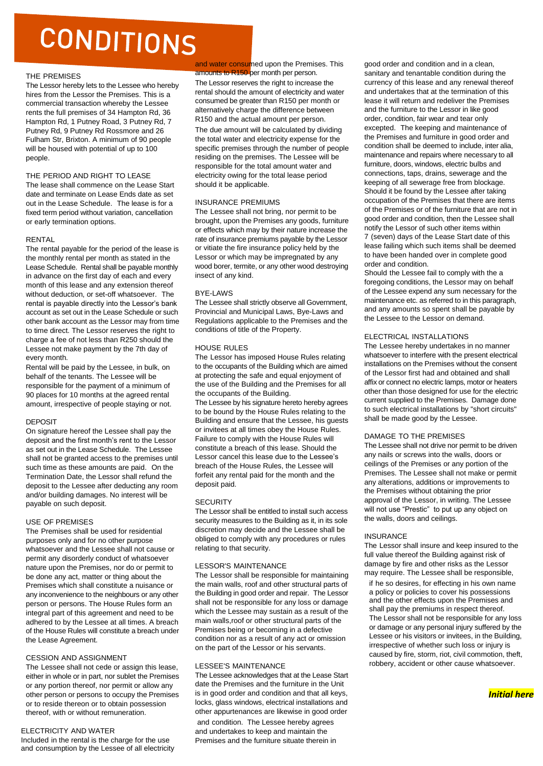### CONDITIONS

#### THE PREMISES

The Lessor hereby lets to the Lessee who hereby hires from the Lessor the Premises. This is a commercial transaction whereby the Lessee rents the full premises of 34 Hampton Rd, 36 Hampton Rd, 1 Putney Road, 3 Putney Rd, 7 Putney Rd, 9 Putney Rd Rossmore and 26 Fulham Str, Brixton. A minimum of 90 people will be housed with potential of up to 100 people.

#### THE PERIOD AND RIGHT TO LEASE

The lease shall commence on the Lease Start date and terminate on Lease Ends date as set out in the Lease Schedule. The lease is for a fixed term period without variation, cancellation or early termination options.

#### RENTAL

The rental payable for the period of the lease is the monthly rental per month as stated in the Lease Schedule. Rental shall be payable monthly in advance on the first day of each and every month of this lease and any extension thereof without deduction, or set-off whatsoever. The rental is payable directly into the Lessor's bank account as set out in the Lease Schedule or such other bank account as the Lessor may from time to time direct. The Lessor reserves the right to charge a fee of not less than R250 should the Lessee not make payment by the 7th day of every month.

Rental will be paid by the Lessee, in bulk, on behalf of the tenants. The Lessee will be responsible for the payment of a minimum of 90 places for 10 months at the agreed rental amount, irrespective of people staying or not.

#### **DEPOSIT**

On signature hereof the Lessee shall pay the deposit and the first month's rent to the Lessor as set out in the Lease Schedule. The Lessee shall not be granted access to the premises until such time as these amounts are paid. On the Termination Date, the Lessor shall refund the deposit to the Lessee after deducting any room and/or building damages. No interest will be payable on such deposit.

#### USE OF PREMISES

The Premises shall be used for residential purposes only and for no other purpose whatsoever and the Lessee shall not cause or permit any disorderly conduct of whatsoever nature upon the Premises, nor do or permit to be done any act, matter or thing about the Premises which shall constitute a nuisance or any inconvenience to the neighbours or any other person or persons. The House Rules form an integral part of this agreement and need to be adhered to by the Lessee at all times. A breach of the House Rules will constitute a breach under the Lease Agreement.

#### CESSION AND ASSIGNMENT

The Lessee shall not cede or assign this lease, either in whole or in part, nor sublet the Premises or any portion thereof, nor permit or allow any other person or persons to occupy the Premises or to reside thereon or to obtain possession thereof, with or without remuneration.

#### ELECTRICITY AND WATER

Included in the rental is the charge for the use and consumption by the Lessee of all electricity and water consumed upon the Premises. This amounts to R150 per month per person.

The Lessor reserves the right to increase the rental should the amount of electricity and water consumed be greater than R150 per month or alternatively charge the difference between R150 and the actual amount per person. The due amount will be calculated by dividing

the total water and electricity expense for the specific premises through the number of people residing on the premises. The Lessee will be responsible for the total amount water and electricity owing for the total lease period should it be applicable.

#### INSURANCE PREMIUMS

The Lessee shall not bring, nor permit to be brought, upon the Premises any goods, furniture or effects which may by their nature increase the rate of insurance premiums payable by the Lessor or vitiate the fire insurance policy held by the Lessor or which may be impregnated by any wood borer, termite, or any other wood destroying insect of any kind.

#### BYE-LAWS

The Lessee shall strictly observe all Government, Provincial and Municipal Laws, Bye-Laws and Regulations applicable to the Premises and the conditions of title of the Property.

#### HOUSE RULES

The Lessor has imposed House Rules relating to the occupants of the Building which are aimed at protecting the safe and equal enjoyment of the use of the Building and the Premises for all the occupants of the Building.

The Lessee by his signature hereto hereby agrees to be bound by the House Rules relating to the Building and ensure that the Lessee, his guests or invitees at all times obey the House Rules. Failure to comply with the House Rules will constitute a breach of this lease. Should the Lessor cancel this lease due to the Lessee's breach of the House Rules, the Lessee will forfeit any rental paid for the month and the deposit paid.

#### **SECURITY**

The Lessor shall be entitled to install such access security measures to the Building as it, in its sole discretion may decide and the Lessee shall be obliged to comply with any procedures or rules relating to that security.

#### LESSOR'S MAINTENANCE

The Lessor shall be responsible for maintaining the main walls, roof and other structural parts of the Building in good order and repair. The Lessor shall not be responsible for any loss or damage which the Lessee may sustain as a result of the main walls,roof or other structural parts of the Premises being or becoming in a defective condition nor as a result of any act or omission on the part of the Lessor or his servants.

#### LESSEE'S MAINTENANCE

The Lessee acknowledges that at the Lease Start date the Premises and the furniture in the Unit is in good order and condition and that all keys, locks, glass windows, electrical installations and other appurtenances are likewise in good order and condition. The Lessee hereby agrees and undertakes to keep and maintain the Premises and the furniture situate therein in

good order and condition and in a clean, sanitary and tenantable condition during the currency of this lease and any renewal thereof and undertakes that at the termination of this lease it will return and redeliver the Premises and the furniture to the Lessor in like good order, condition, fair wear and tear only excepted. The keeping and maintenance of the Premises and furniture in good order and condition shall be deemed to include, inter alia, maintenance and repairs where necessary to all furniture, doors, windows, electric bulbs and connections, taps, drains, sewerage and the keeping of all sewerage free from blockage. Should it be found by the Lessee after taking occupation of the Premises that there are items of the Premises or of the furniture that are not in good order and condition, then the Lessee shall notify the Lessor of such other items within 7 (seven) days of the Lease Start date of this lease failing which such items shall be deemed to have been handed over in complete good order and condition.

Should the Lessee fail to comply with the a foregoing conditions, the Lessor may on behalf of the Lessee expend any sum necessary for the maintenance etc. as referred to in this paragraph, and any amounts so spent shall be payable by the Lessee to the Lessor on demand.

#### ELECTRICAL INSTALLATIONS

The Lessee hereby undertakes in no manner whatsoever to interfere with the present electrical installations on the Premises without the consent of the Lessor first had and obtained and shall affix or connect no electric lamps, motor or heaters other than those designed for use for the electric current supplied to the Premises. Damage done to such electrical installations by "short circuits" shall be made good by the Lessee.

#### DAMAGE TO THE PREMISES

The Lessee shall not drive nor permit to be driven any nails or screws into the walls, doors or ceilings of the Premises or any portion of the Premises. The Lessee shall not make or permit any alterations, additions or improvements to the Premises without obtaining the prior approval of the Lessor, in writing. The Lessee will not use "Prestic" to put up any object on the walls, doors and ceilings.

#### **INSURANCE**

The Lessor shall insure and keep insured to the full value thereof the Building against risk of damage by fire and other risks as the Lessor may require. The Lessee shall be responsible,

if he so desires, for effecting in his own name a policy or policies to cover his possessions and the other effects upon the Premises and shall pay the premiums in respect thereof. The Lessor shall not be responsible for any loss or damage or any personal injury suffered by the Lessee or his visitors or invitees, in the Building, irrespective of whether such loss or injury is caused by fire, storm, riot, civil commotion, theft, robbery, accident or other cause whatsoever.

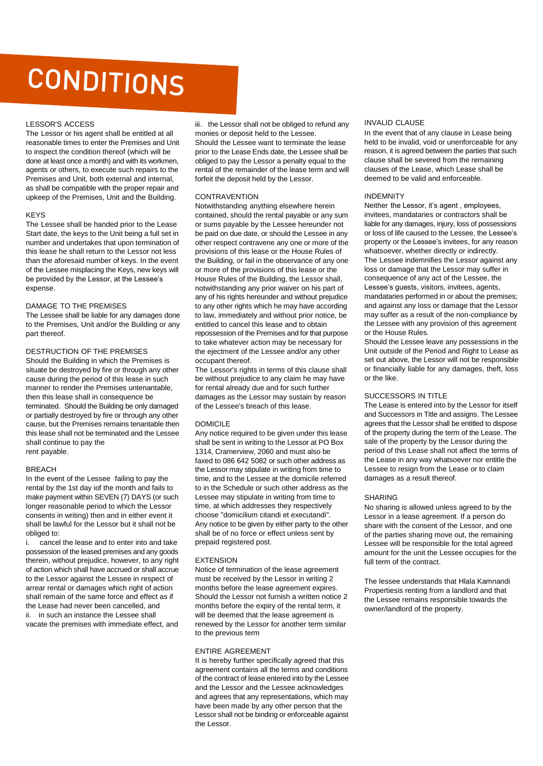### CONDITIONS

#### LESSOR'S ACCESS

The Lessor or his agent shall be entitled at all reasonable times to enter the Premises and Unit to inspect the condition thereof (which will be done at least once a month) and with its workmen, agents or others, to execute such repairs to the Premises and Unit, both external and internal, as shall be compatible with the proper repair and upkeep of the Premises, Unit and the Building.

#### KEYS

The Lessee shall be handed prior to the Lease Start date, the keys to the Unit being a full set in number and undertakes that upon termination of this lease he shall return to the Lessor not less than the aforesaid number of keys. In the event of the Lessee misplacing the Keys, new keys will be provided by the Lessor, at the Lessee's expense.

#### DAMAGE TO THE PREMISES

The Lessee shall be liable for any damages done to the Premises, Unit and/or the Building or any part thereof.

DESTRUCTION OF THE PREMISES Should the Building in which the Premises is situate be destroyed by fire or through any other cause during the period of this lease in such manner to render the Premises untenantable, then this lease shall in consequence be terminated. Should the Building be only damaged or partially destroyed by fire or through any other cause, but the Premises remains tenantable then this lease shall not be terminated and the Lessee shall continue to pay the rent payable.

#### **BREACH**

In the event of the Lessee failing to pay the rental by the 1st day iof the month and fails to make payment within SEVEN (7) DAYS (or such longer reasonable period to which the Lessor consents in writing) then and in either event it shall be lawful for the Lessor but it shall not be obliged to:

i. cancel the lease and to enter into and take possession of the leased premises and any goods therein, without prejudice, however, to any right of action which shall have accrued or shall accrue to the Lessor against the Lessee in respect of arrear rental or damages which right of action shall remain of the same force and effect as if the Lease had never been cancelled, and ii. in such an instance the Lessee shall vacate the premises with immediate effect, and

iii. the Lessor shall not be obliged to refund any

monies or deposit held to the Lessee. Should the Lessee want to terminate the lease prior to the Lease Ends date, the Lessee shall be obliged to pay the Lessor a penalty equal to the rental of the remainder of the lease term and will forfeit the deposit held by the Lessor.

#### **CONTRAVENTION**

Notwithstanding anything elsewhere herein contained, should the rental payable or any sum or sums payable by the Lessee hereunder not be paid on due date, or should the Lessee in any other respect contravene any one or more of the provisions of this lease or the House Rules of the Building, or fail in the observance of any one or more of the provisions of this lease or the House Rules of the Building, the Lessor shall, notwithstanding any prior waiver on his part of any of his rights hereunder and without prejudice to any other rights which he may have according to law, immediately and without prior notice, be entitled to cancel this lease and to obtain repossession of the Premises and for that purpose to take whatever action may be necessary for the ejectment of the Lessee and/or any other occupant thereof.

The Lessor's rights in terms of this clause shall be without prejudice to any claim he may have for rental already due and for such further damages as the Lessor may sustain by reason of the Lessee's breach of this lease.

#### DOMICII F

Any notice required to be given under this lease shall be sent in writing to the Lessor at PO Box 1314, Cramerview, 2060 and must also be faxed to 086 642 5082 or such other address as the Lessor may stipulate in writing from time to time, and to the Lessee at the domicile referred to in the Schedule or such other address as the Lessee may stipulate in writing from time to time, at which addresses they respectively choose "domicilium citandi et executandi". Any notice to be given by either party to the other shall be of no force or effect unless sent by prepaid registered post.

#### EXTENSION

Notice of termination of the lease agreement must be received by the Lessor in writing 2 months before the lease agreement expires. Should the Lessor not furnish a written notice 2 months before the expiry of the rental term, it will be deemed that the lease agreement is renewed by the Lessor for another term similar to the previous term

#### ENTIRE AGREEMENT

It is hereby further specifically agreed that this agreement contains all the terms and conditions of the contract of lease entered into by the Lessee and the Lessor and the Lessee acknowledges and agrees that any representations, which may have been made by any other person that the Lessor shall not be binding or enforceable against the Lessor.

#### INVALID CLAUSE

In the event that of any clause in Lease being held to be invalid, void or unenforceable for any reason, it is agreed between the parties that such clause shall be severed from the remaining clauses of the Lease, which Lease shall be deemed to be valid and enforceable.

#### INDEMNITY

Neither the Lessor, it's agent , employees, invitees, mandataries or contractors shall be liable for any damages, injury, loss of possessions or loss of life caused to the Lessee, the Lessee's property or the Lessee's invitees, for any reason whatsoever, whether directly or indirectly. The Lessee indemnifies the Lessor against any loss or damage that the Lessor may suffer in consequence of any act of the Lessee, the Lessee's guests, visitors, invitees, agents, mandataries performed in or about the premises; and against any loss or damage that the Lessor may suffer as a result of the non-compliance by the Lessee with any provision of this agreement or the House Rules.

Should the Lessee leave any possessions in the Unit outside of the Period and Right to Lease as set out above, the Lessor will not be responsible or financially liable for any damages, theft, loss or the like.

#### SUCCESSORS IN TITLE

The Lease is entered into by the Lessor for itself and Successors in Title and assigns. The Lessee agrees that the Lessor shall be entitled to dispose of the property during the term of the Lease. The sale of the property by the Lessor during the period of this Lease shall not affect the terms of the Lease in any way whatsoever nor entitle the Lessee to resign from the Lease or to claim damages as a result thereof.

#### SHARING

No sharing is allowed unless agreed to by the Lessor in a lease agreement. If a person do share with the consent of the Lessor, and one of the parties sharing move out, the remaining Lessee will be responsible for the total agreed amount for the unit the Lessee occupies for the full term of the contract.

The lessee understands that Hlala Kamnandi Propertiesis renting from a landlord and that the Lessee remains responsible towards the owner/landlord of the property.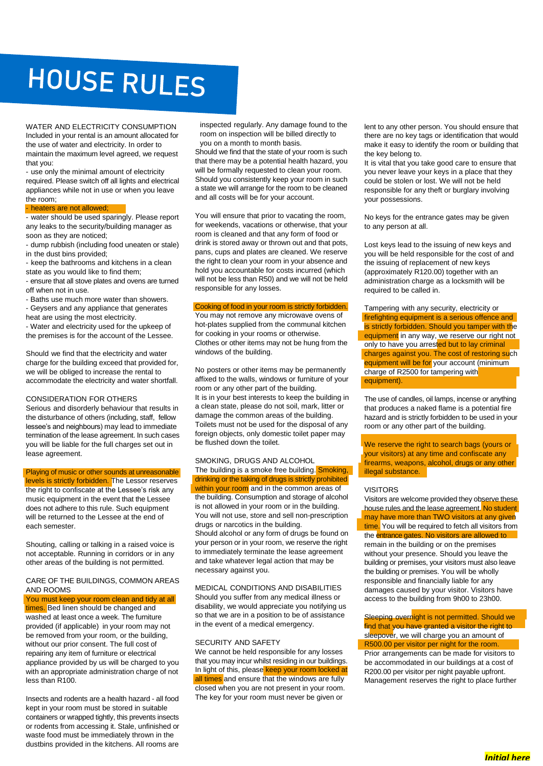### **HOUSE RULES**

WATER AND ELECTRICITY CONSUMPTION Included in your rental is an amount allocated for the use of water and electricity. In order to maintain the maximum level agreed, we request that you:

- use only the minimal amount of electricity required. Please switch off all lights and electrical appliances while not in use or when you leave the room;

- heaters are not allowed;

- water should be used sparingly. Please report any leaks to the security/building manager as soon as they are noticed;

- dump rubbish (including food uneaten or stale) in the dust bins provided;

- keep the bathrooms and kitchens in a clean state as you would like to find them;

- ensure that all stove plates and ovens are turned off when not in use.
- Baths use much more water than showers.
- Geysers and any appliance that generates heat are using the most electricity.
- Water and electricity used for the upkeep of the premises is for the account of the Lessee.

Should we find that the electricity and water charge for the building exceed that provided for, we will be obliged to increase the rental to accommodate the electricity and water shortfall.

#### CONSIDERATION FOR OTHERS

Serious and disorderly behaviour that results in the disturbance of others (including, staff, fellow lessee's and neighbours) may lead to immediate termination of the lease agreement. In such cases you will be liable for the full charges set out in lease agreement.

Playing of music or other sounds at unreasonable levels is strictly forbidden. The Lessor reserves the right to confiscate at the Lessee's risk any music equipment in the event that the Lessee does not adhere to this rule. Such equipment will be returned to the Lessee at the end of each semester.

Shouting, calling or talking in a raised voice is not acceptable. Running in corridors or in any other areas of the building is not permitted.

#### CARE OF THE BUILDINGS, COMMON AREAS AND ROOMS

You must keep your room clean and tidy at all times. Bed linen should be changed and washed at least once a week. The furniture provided (if applicable) in your room may not be removed from your room, or the building, without our prior consent. The full cost of repairing any item of furniture or electrical appliance provided by us will be charged to you with an appropriate administration charge of not less than R100.

Insects and rodents are a health hazard - all food kept in your room must be stored in suitable containers or wrapped tightly, this prevents insects or rodents from accessing it. Stale, unfinished or waste food must be immediately thrown in the dustbins provided in the kitchens. All rooms are

inspected regularly. Any damage found to the room on inspection will be billed directly to you on a month to month basis.

Should we find that the state of your room is such that there may be a potential health hazard, you will be formally requested to clean your room. Should you consistently keep your room in such a state we will arrange for the room to be cleaned and all costs will be for your account.

You will ensure that prior to vacating the room, for weekends, vacations or otherwise, that your room is cleaned and that any form of food or drink is stored away or thrown out and that pots, pans, cups and plates are cleaned. We reserve the right to clean your room in your absence and hold you accountable for costs incurred (which will not be less than R50) and we will not be held responsible for any losses.

#### Cooking of food in your room is strictly forbidden.

You may not remove any microwave ovens of hot-plates supplied from the communal kitchen for cooking in your rooms or otherwise. Clothes or other items may not be hung from the windows of the building.

No posters or other items may be permanently affixed to the walls, windows or furniture of your room or any other part of the building. It is in your best interests to keep the building in a clean state, please do not soil, mark, litter or damage the common areas of the building. Toilets must not be used for the disposal of any foreign objects, only domestic toilet paper may be flushed down the toilet.

#### SMOKING, DRUGS AND ALCOHOL The building is a smoke free building. Smoking, drinking or the taking of drugs is strictly prohibited within your room and in the common areas of the building. Consumption and storage of alcohol is not allowed in your room or in the building. You will not use, store and sell non-prescription drugs or narcotics in the building. Should alcohol or any form of drugs be found on your person or in your room, we reserve the right to immediately terminate the lease agreement and take whatever legal action that may be necessary against you.

MEDICAL CONDITIONS AND DISABILITIES Should you suffer from any medical illness or disability, we would appreciate you notifying us so that we are in a position to be of assistance in the event of a medical emergency.

#### SECURITY AND SAFETY

We cannot be held responsible for any losses that you may incur whilst residing in our buildings. In light of this, please keep your room locked at all times and ensure that the windows are fully closed when you are not present in your room. The key for your room must never be given or

lent to any other person. You should ensure that there are no key tags or identification that would make it easy to identify the room or building that the key belong to.

It is vital that you take good care to ensure that you never leave your keys in a place that they could be stolen or lost. We will not be held responsible for any theft or burglary involving your possessions.

No keys for the entrance gates may be given to any person at all.

Lost keys lead to the issuing of new keys and you will be held responsible for the cost of and the issuing of replacement of new keys (approximately R120.00) together with an administration charge as a locksmith will be required to be called in.

Tampering with any security, electricity or firefighting equipment is a serious offence and is strictly forbidden. Should you tamper with the equipment in any way, we reserve our right not only to have you arrested but to lay criminal charges against you. The cost of restoring such equipment will be for your account (minimum charge of R2500 for tampering with equipment).

The use of candles, oil lamps, incense or anything that produces a naked flame is a potential fire hazard and is strictly forbidden to be used in your room or any other part of the building.

We reserve the right to search bags (yours or your visitors) at any time and confiscate any firearms, weapons, alcohol, drugs or any other illegal substance.

#### VISITORS

Visitors are welcome provided they observe these house rules and the lease agreement. No student may have more than TWO visitors at any given time. You will be required to fetch all visitors from the **entrance gates. No visitors are allowed to** remain in the building or on the premises without your presence. Should you leave the building or premises, your visitors must also leave the building or premises. You will be wholly responsible and financially liable for any damages caused by your visitor. Visitors have access to the building from 9h00 to 23h00.

Sleeping overnight is not permitted. Should we find that you have granted a visitor the right to sleepover, we will charge you an amount of

R500.00 per visitor per night for the room. Prior arrangements can be made for visitors to be accommodated in our buildings at a cost of R200.00 per visitor per night payable upfront. Management reserves the right to place further